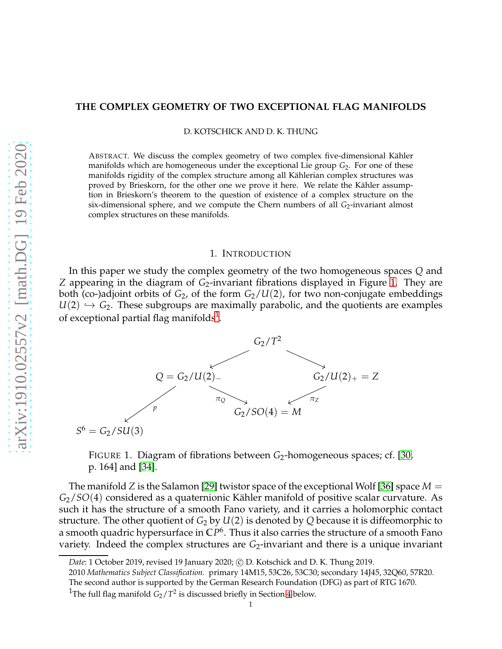## **THE COMPLEX GEOMETRY OF TWO EXCEPTIONAL FLAG MANIFOLDS**

D. KOTSCHICK AND D. K. THUNG

ABSTRACT. We discuss the complex geometry of two complex five-dimensional Kähler manifolds which are homogeneous under the exceptional Lie group *G*2. For one of these manifolds rigidity of the complex structure among all Kählerian complex structures was proved by Brieskorn, for the other one we prove it here. We relate the Kähler assumption in Brieskorn's theorem to the question of existence of a complex structure on the six-dimensional sphere, and we compute the Chern numbers of all *G*<sub>2</sub>-invariant almost complex structures on these manifolds.

### 1. INTRODUCTION

<span id="page-0-0"></span>In this paper we study the complex geometry of the two homogeneous spaces *Q* and *Z* appearing in the diagram of *G*2-invariant fibrations displayed in Figure [1.](#page-0-0) They are both (co-)adjoint orbits of *G*2, of the form *G*2/*U*(2), for two non-conjugate embeddings  $U(2) \hookrightarrow G_2$ . These subgroups are maximally parabolic, and the quotients are examples of exceptional partial flag manifolds $^{\rm 1}.$  $^{\rm 1}.$  $^{\rm 1}.$ 



FIGURE 1. Diagram of fibrations between *G*<sub>2</sub>-homogeneous spaces; cf. [\[30,](#page-13-0) p. 164] and [\[34\]](#page-13-1).

The manifold *Z* is the Salamon [\[29\]](#page-13-2) twistor space of the exceptional Wolf [\[36\]](#page-13-3) space *M* = *G*<sub>2</sub>/*SO*(4) considered as a quaternionic Kähler manifold of positive scalar curvature. As such it has the structure of a smooth Fano variety, and it carries a holomorphic contact structure. The other quotient of  $G_2$  by  $U(2)$  is denoted by  $Q$  because it is diffeomorphic to a smooth quadric hypersurface in **C***P* 6 . Thus it also carries the structure of a smooth Fano variety. Indeed the complex structures are G<sub>2</sub>-invariant and there is a unique invariant

*Date*: 1 October 2019, revised 19 January 2020; c D. Kotschick and D. K. Thung 2019.

<sup>2010</sup> *Mathematics Subject Classification.* primary 14M15, 53C26, 53C30; secondary 14J45, 32Q60, 57R20.

The second author is supported by the German Research Foundation (DFG) as part of RTG 1670.

<span id="page-0-1"></span><sup>&</sup>lt;sup>1</sup>The full flag manifold  $G_2/T^2$  is discussed briefly in Section [4](#page-9-0) below.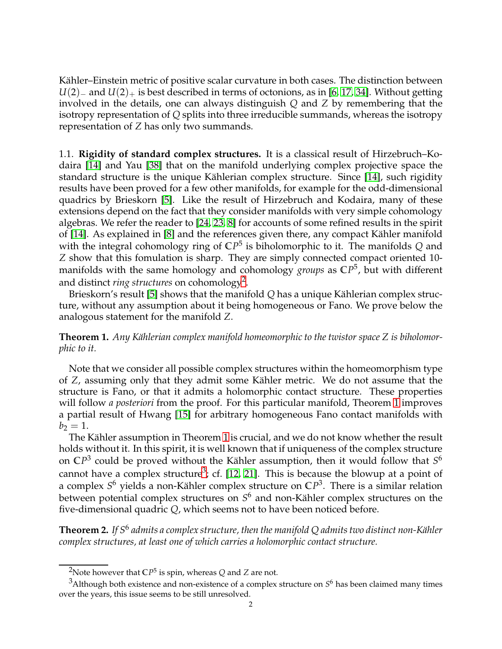Kähler–Einstein metric of positive scalar curvature in both cases. The distinction between *U*(2)<sub>−</sub> and *U*(2)<sub>+</sub> is best described in terms of octonions, as in [\[6,](#page-12-0) [17,](#page-13-4) [34\]](#page-13-1). Without getting involved in the details, one can always distinguish *Q* and *Z* by remembering that the isotropy representation of *Q* splits into three irreducible summands, whereas the isotropy representation of *Z* has only two summands.

1.1. **Rigidity of standard complex structures.** It is a classical result of Hirzebruch–Kodaira [\[14\]](#page-12-1) and Yau [\[38\]](#page-13-5) that on the manifold underlying complex projective space the standard structure is the unique Kählerian complex structure. Since [\[14\]](#page-12-1), such rigidity results have been proved for a few other manifolds, for example for the odd-dimensional quadrics by Brieskorn [\[5\]](#page-12-2). Like the result of Hirzebruch and Kodaira, many of these extensions depend on the fact that they consider manifolds with very simple cohomology algebras. We refer the reader to [\[24,](#page-13-6) [23,](#page-13-7) [8\]](#page-12-3) for accounts of some refined results in the spirit of [\[14\]](#page-12-1). As explained in  $[8]$  and the references given there, any compact Kähler manifold with the integral cohomology ring of **C***P* 5 is biholomorphic to it. The manifolds *Q* and *Z* show that this fomulation is sharp. They are simply connected compact oriented 10 manifolds with the same homology and cohomology *groups* as **C***P* 5 , but with different and distinct *ring structures* on cohomology<sup>[2](#page-1-0)</sup>.

Brieskorn's result [\[5\]](#page-12-2) shows that the manifold Q has a unique Kählerian complex structure, without any assumption about it being homogeneous or Fano. We prove below the analogous statement for the manifold *Z*.

<span id="page-1-1"></span>**Theorem 1.** Any Kählerian complex manifold homeomorphic to the twistor space Z is biholomor*phic to it.*

Note that we consider all possible complex structures within the homeomorphism type of *Z*, assuming only that they admit some Kähler metric. We do not assume that the structure is Fano, or that it admits a holomorphic contact structure. These properties will follow *a posteriori* from the proof. For this particular manifold, Theorem [1](#page-1-1) improves a partial result of Hwang [\[15\]](#page-12-4) for arbitrary homogeneous Fano contact manifolds with  $b_2 = 1.$ 

The Kähler assumption in Theorem [1](#page-1-1) is crucial, and we do not know whether the result holds without it. In this spirit, it is well known that if uniqueness of the complex structure on CP<sup>3</sup> could be proved without the Kähler assumption, then it would follow that  $S^6$ cannot have a complex structure<sup>[3](#page-1-2)</sup>; cf. [\[12,](#page-12-5) [21\]](#page-13-8). This is because the blowup at a point of a complex  $S^6$  yields a non-Kähler complex structure on  $\mathbb{C}P^3$ . There is a similar relation between potential complex structures on  $S^6$  and non-Kähler complex structures on the five-dimensional quadric *Q*, which seems not to have been noticed before.

<span id="page-1-3"></span>**Theorem 2.** If S $^6$  admits a complex structure, then the manifold Q admits two distinct non-Kähler *complex structures, at least one of which carries a holomorphic contact structure.*

<span id="page-1-0"></span> $^2$ Note however that  $\mathbb{C}P^5$  is spin, whereas  $Q$  and  $Z$  are not.

<span id="page-1-2"></span> $^3$ Although both existence and non-existence of a complex structure on  $S^6$  has been claimed many times over the years, this issue seems to be still unresolved.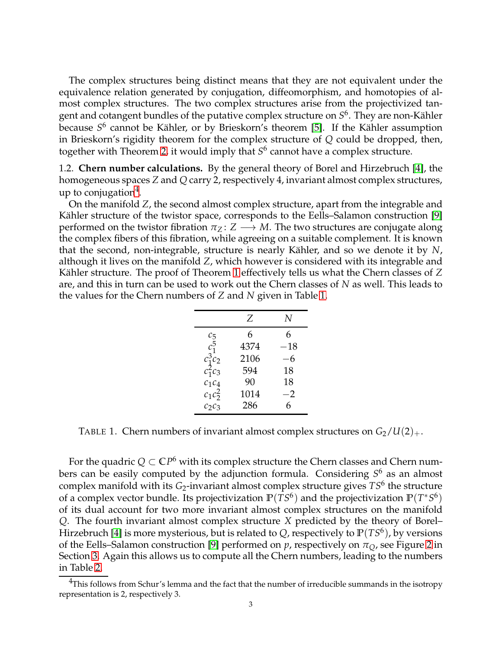The complex structures being distinct means that they are not equivalent under the equivalence relation generated by conjugation, diffeomorphism, and homotopies of almost complex structures. The two complex structures arise from the projectivized tangent and cotangent bundles of the putative complex structure on  $S^6.$  They are non-Kähler because S<sup>6</sup> cannot be Kähler, or by Brieskorn's theorem [\[5\]](#page-12-2). If the Kähler assumption in Brieskorn's rigidity theorem for the complex structure of *Q* could be dropped, then, together with Theorem [2,](#page-1-3) it would imply that *S* 6 cannot have a complex structure.

1.2. **Chern number calculations.** By the general theory of Borel and Hirzebruch [\[4\]](#page-12-6), the homogeneous spaces *Z* and *Q* carry 2, respectively 4, invariant almost complex structures, up to conjugation<sup>[4](#page-2-0)</sup>.

On the manifold *Z*, the second almost complex structure, apart from the integrable and Kähler structure of the twistor space, corresponds to the Eells–Salamon construction [\[9\]](#page-12-7) performed on the twistor fibration  $\pi_Z : Z \longrightarrow M$ . The two structures are conjugate along the complex fibers of this fibration, while agreeing on a suitable complement. It is known that the second, non-integrable, structure is nearly Kähler, and so we denote it by N, although it lives on the manifold *Z*, which however is considered with its integrable and Kähler structure. The proof of Theorem [1](#page-1-1) effectively tells us what the Chern classes of Z are, and this in turn can be used to work out the Chern classes of *N* as well. This leads to the values for the Chern numbers of *Z* and *N* given in Table [1.](#page-2-1)

|            | Z    | N        |
|------------|------|----------|
| $c_5$      | 6    | 6        |
| $c_1^5$    | 4374 | $^{-18}$ |
| $c_1^3c_2$ | 2106 | 6        |
| $c_1^2c_3$ | 594  | 18       |
| $c_1c_4$   | 90   | 18       |
| $c_1c_2^2$ | 1014 | -2       |
| $C_2C_3$   | 286  | 6        |

<span id="page-2-1"></span>TABLE 1. Chern numbers of invariant almost complex structures on  $G_2/U(2)_+$ .

For the quadric  $Q \subset \mathbb{C}P^6$  with its complex structure the Chern classes and Chern numbers can be easily computed by the adjunction formula. Considering *S* <sup>6</sup> as an almost complex manifold with its *G*2-invariant almost complex structure gives *TS*<sup>6</sup> the structure of a complex vector bundle. Its projectivization  $\mathbb{P}(TS^6)$  and the projectivization  $\mathbb{P}(T^*S^6)$ of its dual account for two more invariant almost complex structures on the manifold *Q*. The fourth invariant almost complex structure *X* predicted by the theory of Borel– Hirzebruch [\[4\]](#page-12-6) is more mysterious, but is related to *Q*, respectively to **P**(*TS*<sup>6</sup> ), by versions of the Eells–Salamon construction [\[9\]](#page-12-7) performed on  $p$ , respectively on  $\pi_O$ , see Figure [2](#page-9-1) in Section [3.](#page-6-0) Again this allows us to compute all the Chern numbers, leading to the numbers in Table [2.](#page-3-0)

<span id="page-2-0"></span> $4$ This follows from Schur's lemma and the fact that the number of irreducible summands in the isotropy representation is 2, respectively 3.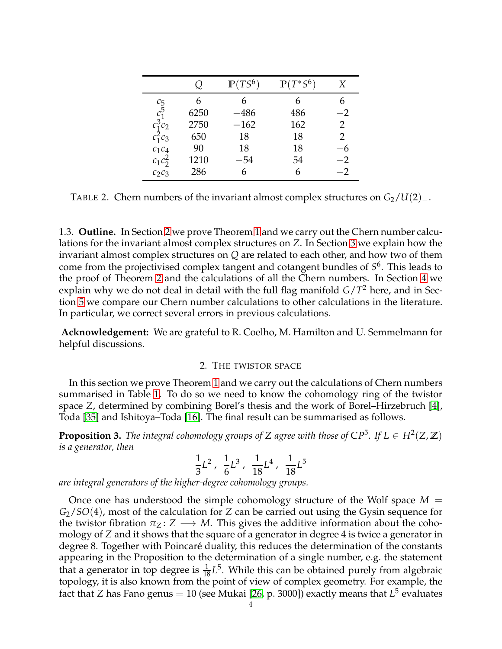|                                                    |      | $\mathbb{P}(TS^6)$ | $\mathbb{P}(T^*S^6)$ | X    |
|----------------------------------------------------|------|--------------------|----------------------|------|
|                                                    |      |                    |                      |      |
| $\frac{c_5}{c_1^5}$                                | 6250 | $-486$             | 486                  | $-2$ |
| $\begin{array}{c} c_1^3c_2\\ c_1^2c_3 \end{array}$ | 2750 | $-162$             | 162                  | 2    |
|                                                    | 650  | 18                 | 18                   | 2    |
| $c_1c_4$                                           | 90   | 18                 | 18                   |      |
| $c_1c_2^2$                                         | 1210 | $-54$              | 54                   | $-2$ |
| $c_2c_3$                                           | 286  |                    |                      | $-2$ |

<span id="page-3-0"></span>TABLE 2. Chern numbers of the invariant almost complex structures on  $G_2/U(2)_-.$ 

1.3. **Outline.** In Section [2](#page-3-1) we prove Theorem [1](#page-1-1) and we carry out the Chern number calculations for the invariant almost complex structures on *Z*. In Section [3](#page-6-0) we explain how the invariant almost complex structures on *Q* are related to each other, and how two of them come from the projectivised complex tangent and cotangent bundles of *S* 6 . This leads to the proof of Theorem [2](#page-1-3) and the calculations of all the Chern numbers. In Section [4](#page-9-0) we explain why we do not deal in detail with the full flag manifold *G*/*T* <sup>2</sup> here, and in Section [5](#page-10-0) we compare our Chern number calculations to other calculations in the literature. In particular, we correct several errors in previous calculations.

<span id="page-3-1"></span>**Acknowledgement:** We are grateful to R. Coelho, M. Hamilton and U. Semmelmann for helpful discussions.

## 2. THE TWISTOR SPACE

In this section we prove Theorem [1](#page-1-1) and we carry out the calculations of Chern numbers summarised in Table [1.](#page-2-1) To do so we need to know the cohomology ring of the twistor space *Z*, determined by combining Borel's thesis and the work of Borel–Hirzebruch [\[4\]](#page-12-6), Toda [\[35\]](#page-13-9) and Ishitoya–Toda [\[16\]](#page-12-8). The final result can be summarised as follows.

**Proposition 3.** *The integral cohomology groups of Z agree with those of*  $\mathbb{C}P^5$ *. If L*  $\in$   $H^2(Z,\mathbb{Z})$ *is a generator, then*

$$
\frac{1}{3}L^2\;,\;\;\frac{1}{6}L^3\;,\;\;\frac{1}{18}L^4\;,\;\;\frac{1}{18}L^5
$$

*are integral generators of the higher-degree cohomology groups.*

Once one has understood the simple cohomology structure of the Wolf space *M* = *G*2/*SO*(4), most of the calculation for *Z* can be carried out using the Gysin sequence for the twistor fibration  $\pi_Z: Z \longrightarrow M$ . This gives the additive information about the cohomology of *Z* and it shows that the square of a generator in degree 4 is twice a generator in degree 8. Together with Poincaré duality, this reduces the determination of the constants appearing in the Proposition to the determination of a single number, e.g. the statement that a generator in top degree is  $\frac{1}{18}L^5$ . While this can be obtained purely from algebraic topology, it is also known from the point of view of complex geometry. For example, the fact that Z has Fano genus = 10 (see Mukai [26*,* p. 3000]) exactly means that  $L^5$  evaluates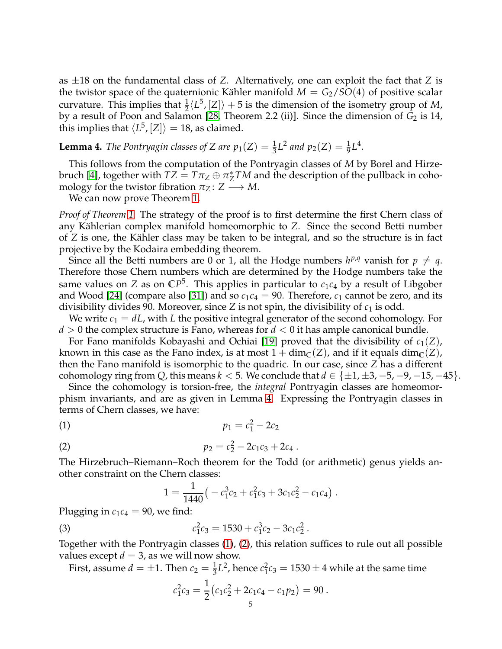as ±18 on the fundamental class of *Z*. Alternatively, one can exploit the fact that *Z* is the twistor space of the quaternionic Kähler manifold  $M = G_2/SO(4)$  of positive scalar curvature. This implies that  $\frac{1}{2} \langle L^5, [Z] \rangle + 5$  is the dimension of the isometry group of *M*, by a result of Poon and Salamon [\[28,](#page-13-11) Theorem 2.2 (ii)]. Since the dimension of *G*<sub>2</sub> is 14, this implies that  $\langle L^5, [Z] \rangle = 18$ , as claimed.

<span id="page-4-0"></span>**Lemma 4.** *The Pontryagin classes of Z are*  $p_1(Z) = \frac{1}{3}L^2$  *and*  $p_2(Z) = \frac{1}{9}L^4$ *.* 

This follows from the computation of the Pontryagin classes of *M* by Borel and Hirze-bruch [\[4\]](#page-12-6), together with  $TZ = T\pi_Z \oplus \pi^*_Z$  $_Z^*TM$  and the description of the pullback in cohomology for the twistor fibration  $\pi_Z: Z \longrightarrow M$ .

We can now prove Theorem [1.](#page-1-1)

*Proof of Theorem [1.](#page-1-1)* The strategy of the proof is to first determine the first Chern class of any Kählerian complex manifold homeomorphic to *Z*. Since the second Betti number of *Z* is one, the Kähler class may be taken to be integral, and so the structure is in fact projective by the Kodaira embedding theorem.

Since all the Betti numbers are 0 or 1, all the Hodge numbers  $h^{p,q}$  vanish for  $p \neq q$ . Therefore those Chern numbers which are determined by the Hodge numbers take the same values on *Z* as on **C***P* 5 . This applies in particular to *c*1*c*<sup>4</sup> by a result of Libgober and Wood [\[24\]](#page-13-6) (compare also [\[31\]](#page-13-12)) and so  $c_1c_4 = 90$ . Therefore,  $c_1$  cannot be zero, and its divisibility divides 90. Moreover, since *Z* is not spin, the divisibility of  $c_1$  is odd.

We write *c*<sup>1</sup> = *dL*, with *L* the positive integral generator of the second cohomology. For *d* > 0 the complex structure is Fano, whereas for *d* < 0 it has ample canonical bundle.

For Fano manifolds Kobayashi and Ochiai [\[19\]](#page-13-13) proved that the divisibility of  $c_1(Z)$ , known in this case as the Fano index, is at most  $1 + \dim_{\mathbb{C}}(Z)$ , and if it equals  $\dim_{\mathbb{C}}(Z)$ , then the Fano manifold is isomorphic to the quadric. In our case, since *Z* has a different cohomology ring from *Q*, this means  $k < 5$ . We conclude that  $d \in \{\pm 1, \pm 3, -5, -9, -15, -45\}$ .

Since the cohomology is torsion-free, the *integral* Pontryagin classes are homeomorphism invariants, and are as given in Lemma [4.](#page-4-0) Expressing the Pontryagin classes in terms of Chern classes, we have:

$$
p_1 = c_1^2 - 2c_2
$$

(2) 
$$
p_2 = c_2^2 - 2c_1c_3 + 2c_4.
$$

The Hirzebruch–Riemann–Roch theorem for the Todd (or arithmetic) genus yields another constraint on the Chern classes:

<span id="page-4-3"></span><span id="page-4-2"></span><span id="page-4-1"></span>
$$
1 = \frac{1}{1440} \left( -c_1^3 c_2 + c_1^2 c_3 + 3c_1 c_2^2 - c_1 c_4 \right).
$$

Plugging in  $c_1c_4 = 90$ , we find:

(3) 
$$
c_1^2c_3 = 1530 + c_1^3c_2 - 3c_1c_2^2.
$$

Together with the Pontryagin classes [\(1\)](#page-4-1), [\(2\)](#page-4-2), this relation suffices to rule out all possible values except  $d = 3$ , as we will now show.

First, assume  $d = \pm 1$ . Then  $c_2 = \frac{1}{3}L^2$ , hence  $c_1^2$  $_1^2c_3 = 1530 \pm 4$  while at the same time

$$
c_1^2c_3=\frac{1}{2}(c_1c_2^2+2c_1c_4-c_1p_2)=90.
$$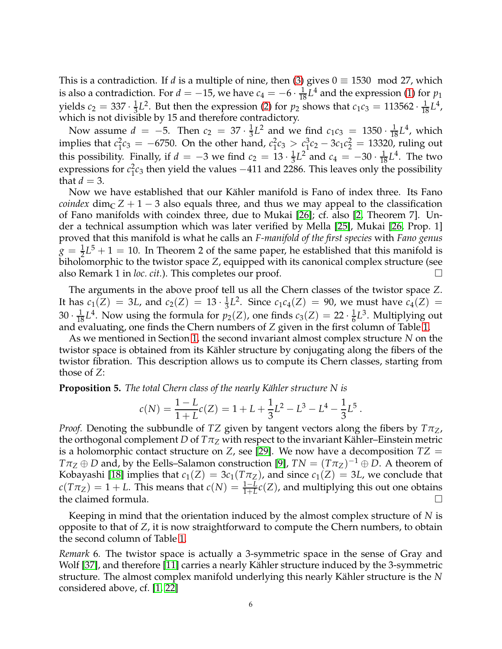This is a contradiction. If *d* is a multiple of nine, then [\(3\)](#page-4-3) gives  $0 \equiv 1530 \mod 27$ , which is also a contradiction. For  $d = -15$ , we have  $c_4 = -6 \cdot \frac{1}{18} L^4$  and the expression [\(1\)](#page-4-1) for  $p_1$ yields  $c_2 = 337 \cdot \frac{1}{3}$  $\frac{1}{3}L^2$ . But then the expression [\(2\)](#page-4-2) for *p*<sub>2</sub> shows that *c*<sub>1</sub>*c*<sub>3</sub> = 113562 ·  $\frac{1}{18}L^4$ , which is not divisible by 15 and therefore contradictory.

Now assume  $d = -5$ . Then  $c_2 = 37 \cdot \frac{1}{3}$  $\frac{1}{3}L^2$  and we find  $c_1c_3 = 1350 \cdot \frac{1}{18}L^4$ , which implies that *c* 2  $_1^2c_3 = -6750$ . On the other hand,  $c_1^2$  $c_1^2c_3 > c_1^3$  $^{3}_{1}c_{2} - 3c_{1}c_{2}^{2} = 13320$ , ruling out this possibility. Finally, if  $d = -3$  we find  $c_2 = 13 \cdot \frac{1}{3}$  $\frac{1}{3}L^2$  and  $c_4 = -30 \cdot \frac{1}{18}L^4$ . The two expressions for  $c_1^2$  $^{2}_{1}$ c<sub>3</sub> then yield the values  $-411$  and 2286. This leaves only the possibility that  $d = 3$ .

Now we have established that our Kähler manifold is Fano of index three. Its Fano *coindex* dim<sub>C</sub>  $Z + 1 - 3$  also equals three, and thus we may appeal to the classification of Fano manifolds with coindex three, due to Mukai [\[26\]](#page-13-10); cf. also [\[2,](#page-12-9) Theorem 7]. Under a technical assumption which was later verified by Mella [\[25\]](#page-13-14), Mukai [\[26,](#page-13-10) Prop. 1] proved that this manifold is what he calls an *F-manifold of the first species* with *Fano genus*  $g = \frac{1}{2}L^5 + 1 = 10$ . In Theorem 2 of the same paper, he established that this manifold is biholomorphic to the twistor space *Z*, equipped with its canonical complex structure (see also Remark 1 in *loc. cit.*). This completes our proof.

The arguments in the above proof tell us all the Chern classes of the twistor space *Z*. It has  $c_1(Z) = 3L$ , and  $c_2(Z) = 13 \cdot \frac{1}{3}$  $\frac{1}{3}L^2$ . Since  $c_1c_4(Z) = 90$ , we must have  $c_4(Z) =$  $30 \cdot \frac{1}{18} L^4$ . Now using the formula for  $p_2(Z)$ , one finds  $c_3(Z) = 22 \cdot \frac{1}{6}$  $\frac{1}{6}L^3$ . Multiplying out and evaluating, one finds the Chern numbers of *Z* given in the first column of Table [1.](#page-2-1)

As we mentioned in Section [1,](#page-0-0) the second invariant almost complex structure *N* on the twistor space is obtained from its Kähler structure by conjugating along the fibers of the twistor fibration. This description allows us to compute its Chern classes, starting from those of *Z*:

**Proposition 5.** *The total Chern class of the nearly Kähler structure N is* 

$$
c(N) = \frac{1 - L}{1 + L}c(Z) = 1 + L + \frac{1}{3}L^{2} - L^{3} - L^{4} - \frac{1}{3}L^{5}.
$$

*Proof.* Denoting the subbundle of *TZ* given by tangent vectors along the fibers by *TπZ*, the orthogonal complement *D* of  $T\pi_Z$  with respect to the invariant Kähler–Einstein metric is a holomorphic contact structure on *Z*, see [\[29\]](#page-13-2). We now have a decomposition  $TZ =$  $T\pi_Z \oplus D$  and, by the Eells–Salamon construction [\[9\]](#page-12-7),  $TN = (T\pi_Z)^{-1} \oplus D$ . A theorem of Kobayashi [\[18\]](#page-13-15) implies that  $c_1(Z) = 3c_1(T\pi_Z)$ , and since  $c_1(Z) = 3L$ , we conclude that  $c(T\pi_Z) = 1 + L$ . This means that  $c(N) = \frac{1-L}{1+L}c(Z)$ , and multiplying this out one obtains the claimed formula.  $\square$ 

Keeping in mind that the orientation induced by the almost complex structure of *N* is opposite to that of *Z*, it is now straightforward to compute the Chern numbers, to obtain the second column of Table [1.](#page-2-1)

*Remark* 6*.* The twistor space is actually a 3-symmetric space in the sense of Gray and Wolf [\[37\]](#page-13-16), and therefore [\[11\]](#page-12-10) carries a nearly Kähler structure induced by the 3-symmetric structure. The almost complex manifold underlying this nearly K¨ahler structure is the *N* considered above, cf. [\[1,](#page-12-11) [22\]](#page-13-17)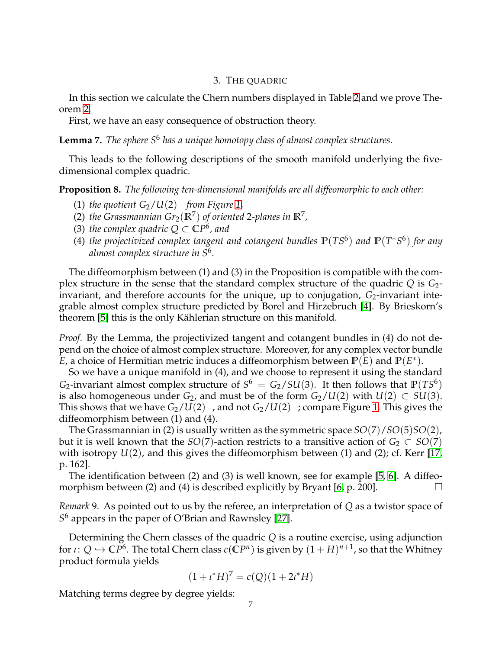## 3. THE QUADRIC

<span id="page-6-0"></span>In this section we calculate the Chern numbers displayed in Table [2](#page-3-0) and we prove Theorem [2.](#page-1-3)

First, we have an easy consequence of obstruction theory.

<span id="page-6-1"></span>**Lemma 7.** *The sphere S*<sup>6</sup> *has a unique homotopy class of almost complex structures.*

This leads to the following descriptions of the smooth manifold underlying the fivedimensional complex quadric.

<span id="page-6-2"></span>**Proposition 8.** *The following ten-dimensional manifolds are all diffeomorphic to each other:*

- (1) *the quotient G*2/*U*(2)<sup>−</sup> *from Figure [1,](#page-0-0)*
- (2) *the Grassmannian*  $Gr_2(\mathbb{R}^7)$  *of oriented 2-planes in*  $\mathbb{R}^7$ ,
- (3) *the complex quadric*  $Q \subset \mathbb{C}P^6$ *, and*
- (4) *the projectivized complex tangent and cotangent bundles* **P**(*TS*<sup>6</sup> ) *and* **P**(*T* ∗*S* 6 ) *for any almost complex structure in S*<sup>6</sup> *.*

The diffeomorphism between (1) and (3) in the Proposition is compatible with the complex structure in the sense that the standard complex structure of the quadric *Q* is *G*2 invariant, and therefore accounts for the unique, up to conjugation,  $G_2$ -invariant integrable almost complex structure predicted by Borel and Hirzebruch [\[4\]](#page-12-6). By Brieskorn's theorem [\[5\]](#page-12-2) this is the only Kählerian structure on this manifold.

*Proof.* By the Lemma, the projectivized tangent and cotangent bundles in (4) do not depend on the choice of almost complex structure. Moreover, for any complex vector bundle  $\tilde{E}$ , a choice of Hermitian metric induces a diffeomorphism between  $\mathbb{P}(\tilde{E})$  and  $\mathbb{P}(E^*)$ .

So we have a unique manifold in (4), and we choose to represent it using the standard *G*<sub>2</sub>-invariant almost complex structure of  $S^6 = G_2/SU(3)$ . It then follows that  $P(TS^6)$ is also homogeneous under  $G_2$ , and must be of the form  $G_2/U(2)$  with  $U(2) \subset SU(3)$ . This shows that we have *G*2/*U*(2)−, and not *G*2/*U*(2)+; compare Figure [1.](#page-0-0) This gives the diffeomorphism between (1) and (4).

The Grassmannian in (2) is usually written as the symmetric space *SO*(7)/*SO*(5)*SO*(2), but it is well known that the *SO*(7)-action restricts to a transitive action of  $G_2 \subset SO(7)$ with isotropy *U*(2), and this gives the diffeomorphism between (1) and (2); cf. Kerr [\[17,](#page-13-4) p. 162].

The identification between (2) and (3) is well known, see for example [\[5,](#page-12-2) [6\]](#page-12-0). A diffeo-morphism between (2) and (4) is described explicitly by Bryant [\[6,](#page-12-0) p. 200].  $\Box$ 

*Remark* 9*.* As pointed out to us by the referee, an interpretation of *Q* as a twistor space of *S* <sup>6</sup> appears in the paper of O'Brian and Rawnsley [\[27\]](#page-13-18).

Determining the Chern classes of the quadric *Q* is a routine exercise, using adjunction for  $\iota\colon Q\hookrightarrow \mathbb{C}P^6.$  The total Chern class  $c(\mathbb{C}P^n)$  is given by  $(1+H)^{n+1}$ , so that the Whitney product formula yields

$$
(1 + \iota^* H)^7 = c(Q)(1 + 2\iota^* H)
$$

Matching terms degree by degree yields: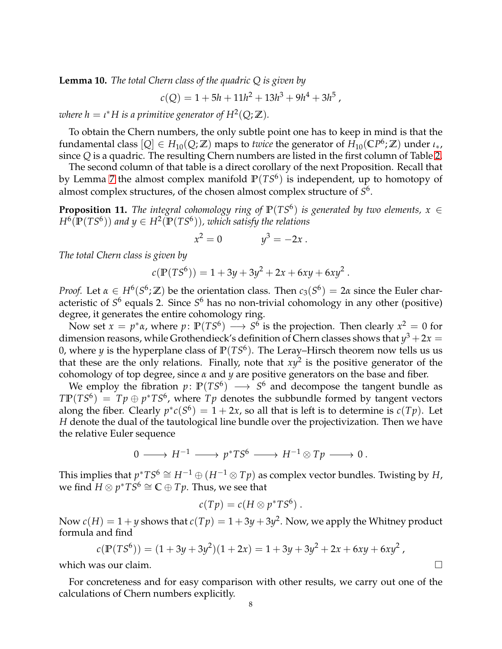<span id="page-7-1"></span>**Lemma 10.** *The total Chern class of the quadric Q is given by*

$$
c(Q) = 1 + 5h + 11h^2 + 13h^3 + 9h^4 + 3h^5,
$$

where  $h = \iota^* H$  is a primitive generator of  $H^2(Q; \mathbb{Z})$ .

To obtain the Chern numbers, the only subtle point one has to keep in mind is that the  $f$ undamental class  $[Q] \in H_{10}(Q;\mathbb{Z})$  maps to *twice* the generator of  $H_{10}(\mathbb{C}P^6;\mathbb{Z})$  under  $\iota_*,$ since *Q* is a quadric. The resulting Chern numbers are listed in the first column of Table [2.](#page-3-0)

The second column of that table is a direct corollary of the next Proposition. Recall that by Lemma [7](#page-6-1) the almost complex manifold **P**(*TS*<sup>6</sup> ) is independent, up to homotopy of almost complex structures, of the chosen almost complex structure of *S* 6 .

<span id="page-7-0"></span>**Proposition 11.** *The integral cohomology ring of*  $\mathbb{P}(TS^6)$  *is generated by two elements,*  $x \in$  $H^6(\mathbb{P}(TS^6))$  and  $y \in H^2(\mathbb{P}(TS^6))$ , which satisfy the relations

$$
x^2 = 0 \qquad \qquad y^3 = -2x \ .
$$

*The total Chern class is given by*

$$
c(\mathbb{P}(TS^6)) = 1 + 3y + 3y^2 + 2x + 6xy + 6xy^2.
$$

*Proof.* Let  $\alpha \in H^6(S^6; \mathbb{Z})$  be the orientation class. Then  $c_3(S^6) = 2\alpha$  since the Euler characteristic of *S*<sup>6</sup> equals 2. Since *S*<sup>6</sup> has no non-trivial cohomology in any other (positive) degree, it generates the entire cohomology ring.

Now set  $x = p^* \alpha$ , where  $p \colon \mathbb{P}(TS^6) \longrightarrow S^6$  is the projection. Then clearly  $x^2 = 0$  for dimension reasons, while Grothendieck's definition of Chern classes shows that  $y^3 + 2x =$ 0, where *y* is the hyperplane class of **P**(*TS*<sup>6</sup> ). The Leray–Hirsch theorem now tells us us that these are the only relations. Finally, note that  $xy^2$  is the positive generator of the cohomology of top degree, since *α* and *y* are positive generators on the base and fiber.

We employ the fibration  $p: \mathbb{P}(TS^6) \longrightarrow S^6$  and decompose the tangent bundle as  $\text{TP}(TS^6) = Tp \oplus p^*TS^6$ , where  $Tp$  denotes the subbundle formed by tangent vectors along the fiber. Clearly  $p^*c(S^6) = 1 + 2x$ , so all that is left is to determine is  $c(Tp)$ . Let *H* denote the dual of the tautological line bundle over the projectivization. Then we have the relative Euler sequence

$$
0 \longrightarrow H^{-1} \longrightarrow p^*TS^6 \longrightarrow H^{-1} \otimes Tp \longrightarrow 0.
$$

This implies that  $p^*TS^6\cong H^{-1}\oplus (H^{-1}\otimes Tp)$  as complex vector bundles. Twisting by  $H$ , we find  $H \otimes p^* T S^6 \cong \mathbb{C} \oplus Tp.$  Thus, we see that

$$
c(Tp) = c(H \otimes p^*TS^6).
$$

Now  $c(H) = 1 + y$  shows that  $c(Tp) = 1 + 3y + 3y^2$ . Now, we apply the Whitney product formula and find

$$
c(\mathbb{P}(TS^6)) = (1+3y+3y^2)(1+2x) = 1+3y+3y^2+2x+6xy+6xy^2,
$$

which was our claim.  $\square$ 

For concreteness and for easy comparison with other results, we carry out one of the calculations of Chern numbers explicitly.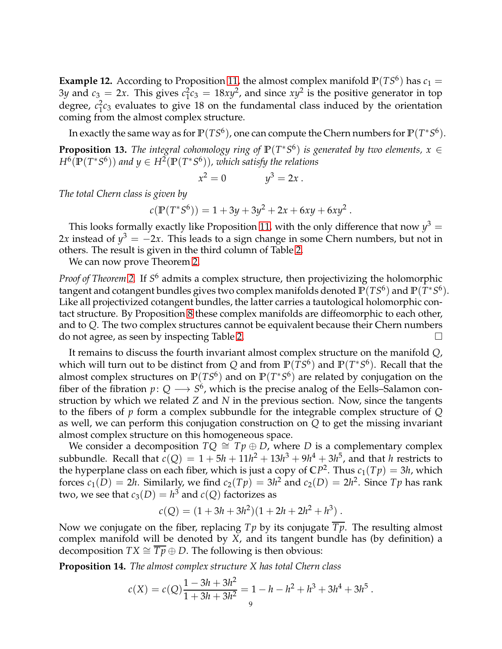<span id="page-8-0"></span>**Example 12.** According to Proposition [11,](#page-7-0) the almost complex manifold  $P(TS^6)$  has  $c_1 =$  $3y$  and  $c_3 = 2x$ . This gives  $c_1^2$  $_1^2c_3 = 18xy^2$ , and since  $xy^2$  is the positive generator in top degree, *c* 2  $\frac{2}{1}c_3$  evaluates to give 18 on the fundamental class induced by the orientation coming from the almost complex structure.

In exactly the same way as for  $\mathbb{P}(TS^6)$ , one can compute the Chern numbers for  $\mathbb{P}(T^*S^6)$ .

**Proposition 13.** *The integral cohomology ring of*  $\mathbb{P}(T^*S^6)$  *is generated by two elements,*  $x \in$  $H^{6}(\mathbb{P}(T^{*}S^{6}))$  and  $y \in H^{2}(\mathbb{P}(T^{*}S^{6}))$ , which satisfy the relations

$$
x^2 = 0 \qquad \qquad y^3 = 2x \ .
$$

*The total Chern class is given by*

$$
c(\mathbb{P}(T^*S^6)) = 1 + 3y + 3y^2 + 2x + 6xy + 6xy^2.
$$

This looks formally exactly like Proposition [11,](#page-7-0) with the only difference that now  $y^3 =$ 2x instead of  $y^3 = -2x$ . This leads to a sign change in some Chern numbers, but not in others. The result is given in the third column of Table [2.](#page-3-0)

We can now prove Theorem [2.](#page-1-3)

*Proof of Theorem [2.](#page-1-3)* If *S* <sup>6</sup> admits a complex structure, then projectivizing the holomorphic tangent and cotangent bundles gives two complex manifolds denoted  $\mathbb{P}(TS^6)$  and  $\mathbb{P}(T^*S^6)$ . Like all projectivized cotangent bundles, the latter carries a tautological holomorphic contact structure. By Proposition [8](#page-6-2) these complex manifolds are diffeomorphic to each other, and to *Q*. The two complex structures cannot be equivalent because their Chern numbers do not agree, as seen by inspecting Table [2.](#page-3-0)

It remains to discuss the fourth invariant almost complex structure on the manifold *Q*, which will turn out to be distinct from  $Q$  and from  $\mathbb{P}(TS^6)$  and  $\mathbb{P}(T^*S^6)$ . Recall that the almost complex structures on  $\mathbb{P}(TS^6)$  and on  $\mathbb{P}(T^*S^6)$  are related by conjugation on the fiber of the fibration  $p: Q \longrightarrow S^6$ , which is the precise analog of the Eells–Salamon construction by which we related *Z* and *N* in the previous section. Now, since the tangents to the fibers of *p* form a complex subbundle for the integrable complex structure of *Q* as well, we can perform this conjugation construction on *Q* to get the missing invariant almost complex structure on this homogeneous space.

We consider a decomposition  $TQ \cong Tp \oplus D$ , where *D* is a complementary complex subbundle. Recall that  $c(Q) = 1 + 5h + 11h^2 + 13h^3 + 9h^4 + 3h^5$ , and that *h* restricts to the hyperplane class on each fiber, which is just a copy of  $\mathbb{C}P^2$ . Thus  $c_1(Tp) = 3h$ , which forces  $c_1(D) = 2h$ . Similarly, we find  $c_2(Tp) = 3h^2$  and  $c_2(D) = 2h^2$ . Since  $Tp$  has rank two, we see that  $c_3(D) = h^3$  and  $c(Q)$  factorizes as

$$
c(Q) = (1 + 3h + 3h2)(1 + 2h + 2h2 + h3).
$$

Now we conjugate on the fiber, replacing  $Tp$  by its conjugate  $\overline{Tp}$ . The resulting almost complex manifold will be denoted by *X*, and its tangent bundle has (by definition) a decomposition *TX*  $\cong$  *Tp*  $\oplus$  *D*. The following is then obvious:

**Proposition 14.** *The almost complex structure X has total Chern class*

$$
c(X) = c(Q)\frac{1 - 3h + 3h^2}{1 + 3h + 3h^2} = 1 - h - h^2 + h^3 + 3h^4 + 3h^5.
$$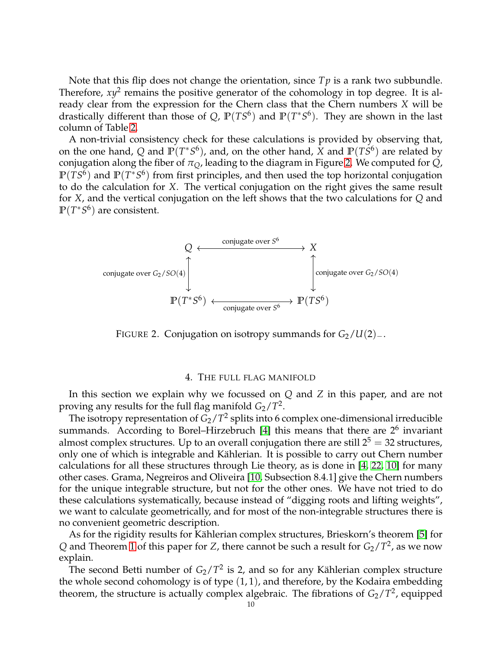Note that this flip does not change the orientation, since *T p* is a rank two subbundle. Therefore,  $xy^2$  remains the positive generator of the cohomology in top degree. It is already clear from the expression for the Chern class that the Chern numbers *X* will be drastically different than those of Q,  $\mathbb{P}(TS^6)$  and  $\mathbb{P}(T^*S^6)$ . They are shown in the last column of Table [2.](#page-3-0)

A non-trivial consistency check for these calculations is provided by observing that, on the one hand, Q and  $\mathbb{P}(T^*S^6)$ , and, on the other hand, X and  $\mathbb{P}(TS^6)$  are related by conjugation along the fiber of  $\pi$ <sub>O</sub>, leading to the diagram in Figure [2.](#page-9-1) We computed for *Q*, **P**(*TS*<sup>6</sup>) and **P**(*T*<sup>∗</sup>*S*<sup>6</sup>) from first principles, and then used the top horizontal conjugation to do the calculation for *X*. The vertical conjugation on the right gives the same result for *X*, and the vertical conjugation on the left shows that the two calculations for *Q* and **P**(*T* ∗*S* 6 ) are consistent.



FIGURE 2. Conjugation on isotropy summands for *G*2/*U*(2)−.

## <span id="page-9-1"></span>4. THE FULL FLAG MANIFOLD

<span id="page-9-0"></span>In this section we explain why we focussed on *Q* and *Z* in this paper, and are not proving any results for the full flag manifold  $G_2/T^2$ .

The isotropy representation of  $G_2/T^2$  splits into 6 complex one-dimensional irreducible summands. According to Borel–Hirzebruch [\[4\]](#page-12-6) this means that there are  $2^6$  invariant almost complex structures. Up to an overall conjugation there are still  $2^5 = 32$  structures, only one of which is integrable and Kählerian. It is possible to carry out Chern number calculations for all these structures through Lie theory, as is done in [\[4,](#page-12-6) [22,](#page-13-17) [10\]](#page-12-12) for many other cases. Grama, Negreiros and Oliveira [\[10,](#page-12-12) Subsection 8.4.1] give the Chern numbers for the unique integrable structure, but not for the other ones. We have not tried to do these calculations systematically, because instead of "digging roots and lifting weights", we want to calculate geometrically, and for most of the non-integrable structures there is no convenient geometric description.

As for the rigidity results for Kählerian complex structures, Brieskorn's theorem [\[5\]](#page-12-2) for  $Q$  and Theorem [1](#page-1-1) of this paper for *Z*, there cannot be such a result for  $G_2/T^2$ , as we now explain.

The second Betti number of  $G_2/T^2$  is 2, and so for any Kählerian complex structure the whole second cohomology is of type  $(1, 1)$ , and therefore, by the Kodaira embedding theorem, the structure is actually complex algebraic. The fibrations of  $G_2/T^2$ , equipped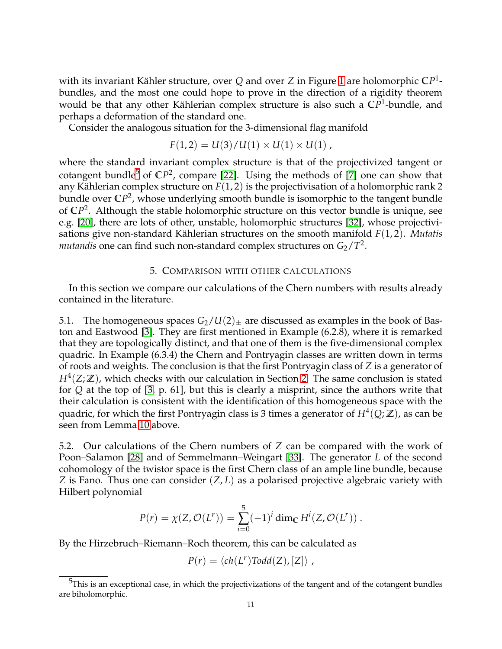with its invariant Kähler structure, over  $Q$  and over  $Z$  in Figure [1](#page-0-0) are holomorphic  $\mathbb{C}P^1$ bundles, and the most one could hope to prove in the direction of a rigidity theorem would be that any other Kählerian complex structure is also such a CP<sup>1</sup>-bundle, and perhaps a deformation of the standard one.

Consider the analogous situation for the 3-dimensional flag manifold

$$
F(1,2) = U(3)/U(1) \times U(1) \times U(1) ,
$$

where the standard invariant complex structure is that of the projectivized tangent or cotangent bundle<sup>[5](#page-10-1)</sup> of CP<sup>2</sup>, compare [\[22\]](#page-13-17). Using the methods of [\[7\]](#page-12-13) one can show that any Kählerian complex structure on  $F(1, 2)$  is the projectivisation of a holomorphic rank 2 bundle over **C***P* 2 , whose underlying smooth bundle is isomorphic to the tangent bundle of  $\mathbb{C}P^2$ . Although the stable holomorphic structure on this vector bundle is unique, see e.g. [\[20\]](#page-13-19), there are lots of other, unstable, holomorphic structures [\[32\]](#page-13-20), whose projectivisations give non-standard Kählerian structures on the smooth manifold *F*(1,2). *Mutatis*  $mutand$  is one can find such non-standard complex structures on  $G_2/T^2$ .

# 5. COMPARISON WITH OTHER CALCULATIONS

<span id="page-10-0"></span>In this section we compare our calculations of the Chern numbers with results already contained in the literature.

<span id="page-10-2"></span>5.1. The homogeneous spaces  $G_2/U(2)_\pm$  are discussed as examples in the book of Baston and Eastwood [\[3\]](#page-12-14). They are first mentioned in Example (6.2.8), where it is remarked that they are topologically distinct, and that one of them is the five-dimensional complex quadric. In Example (6.3.4) the Chern and Pontryagin classes are written down in terms of roots and weights. The conclusion is that the first Pontryagin class of *Z* is a generator of *H*<sup>4</sup> (*Z*; **Z**), which checks with our calculation in Section [2.](#page-3-1) The same conclusion is stated for *Q* at the top of [\[3,](#page-12-14) p. 61], but this is clearly a misprint, since the authors write that their calculation is consistent with the identification of this homogeneous space with the quadric, for which the first Pontryagin class is 3 times a generator of  $H^4(Q;\mathbb{Z})$ , as can be seen from Lemma [10](#page-7-1) above.

5.2. Our calculations of the Chern numbers of *Z* can be compared with the work of Poon–Salamon [\[28\]](#page-13-11) and of Semmelmann–Weingart [\[33\]](#page-13-21). The generator *L* of the second cohomology of the twistor space is the first Chern class of an ample line bundle, because *Z* is Fano. Thus one can consider (*Z*, *L*) as a polarised projective algebraic variety with Hilbert polynomial

$$
P(r) = \chi(Z, \mathcal{O}(L^{r})) = \sum_{i=0}^{5} (-1)^{i} \dim_{\mathbb{C}} H^{i}(Z, \mathcal{O}(L^{r})) .
$$

By the Hirzebruch–Riemann–Roch theorem, this can be calculated as

$$
P(r) = \langle ch(L^r) \text{Total}(Z), [Z] \rangle ,
$$

<span id="page-10-1"></span> $5$ This is an exceptional case, in which the projectivizations of the tangent and of the cotangent bundles are biholomorphic.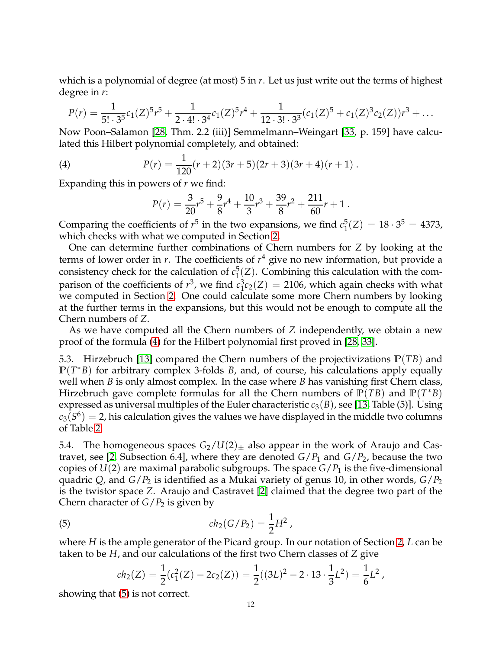which is a polynomial of degree (at most) 5 in *r*. Let us just write out the terms of highest degree in *r*:

$$
P(r) = \frac{1}{5! \cdot 3^5} c_1(Z)^5 r^5 + \frac{1}{2 \cdot 4! \cdot 3^4} c_1(Z)^5 r^4 + \frac{1}{12 \cdot 3! \cdot 3^3} (c_1(Z)^5 + c_1(Z)^3 c_2(Z)) r^3 + \dots
$$

Now Poon–Salamon [\[28,](#page-13-11) Thm. 2.2 (iii)] Semmelmann–Weingart [\[33,](#page-13-21) p. 159] have calculated this Hilbert polynomial completely, and obtained:

(4) 
$$
P(r) = \frac{1}{120}(r+2)(3r+5)(2r+3)(3r+4)(r+1).
$$

Expanding this in powers of *r* we find:

<span id="page-11-0"></span>
$$
P(r) = \frac{3}{20}r^5 + \frac{9}{8}r^4 + \frac{10}{3}r^3 + \frac{39}{8}r^2 + \frac{211}{60}r + 1.
$$

Comparing the coefficients of  $r^5$  in the two expansions, we find  $c_1^5$  $_1^5(Z) = 18 \cdot 3^5 = 4373,$ which checks with what we computed in Section [2.](#page-3-1)

One can determine further combinations of Chern numbers for *Z* by looking at the terms of lower order in *r*. The coefficients of *r* <sup>4</sup> give no new information, but provide a consistency check for the calculation of *c* 5  $\frac{1}{2}(Z)$ . Combining this calculation with the comparison of the coefficients of  $r^3$ , we find  $c_1^3$  $\int_1^3 c_2(Z) = 2106$ , which again checks with what we computed in Section [2.](#page-3-1) One could calculate some more Chern numbers by looking at the further terms in the expansions, but this would not be enough to compute all the Chern numbers of *Z*.

As we have computed all the Chern numbers of *Z* independently, we obtain a new proof of the formula [\(4\)](#page-11-0) for the Hilbert polynomial first proved in [\[28,](#page-13-11) [33\]](#page-13-21).

5.3. Hirzebruch [\[13\]](#page-12-15) compared the Chern numbers of the projectivizations **P**(*TB*) and **P**(*T* <sup>∗</sup>*B*) for arbitrary complex 3-folds *B*, and, of course, his calculations apply equally well when *B* is only almost complex. In the case where *B* has vanishing first Chern class, Hirzebruch gave complete formulas for all the Chern numbers of  $\mathbb{P}(TB)$  and  $\mathbb{P}(T^*B)$ expressed as universal multiples of the Euler characteristic  $c_3(B)$ , see [\[13,](#page-12-15) Table (5)]. Using  $c_3(S^6) =$  2, his calculation gives the values we have displayed in the middle two columns of Table [2.](#page-3-0)

5.4. The homogeneous spaces  $G_2/U(2)_\pm$  also appear in the work of Araujo and Cas-travet, see [\[2,](#page-12-9) Subsection 6.4], where they are denoted  $G/P_1$  and  $G/P_2$ , because the two copies of  $U(2)$  are maximal parabolic subgroups. The space  $G/P_1$  is the five-dimensional quadric *Q*, and *G*/*P*<sup>2</sup> is identified as a Mukai variety of genus 10, in other words, *G*/*P*<sup>2</sup> is the twistor space *Z*. Araujo and Castravet [\[2\]](#page-12-9) claimed that the degree two part of the Chern character of *G*/*P*<sup>2</sup> is given by

(5) 
$$
ch_2(G/P_2) = \frac{1}{2}H^2,
$$

where *H* is the ample generator of the Picard group. In our notation of Section [2,](#page-3-1) *L* can be taken to be *H*, and our calculations of the first two Chern classes of *Z* give

<span id="page-11-1"></span>
$$
ch_2(Z) = \frac{1}{2}(c_1^2(Z) - 2c_2(Z)) = \frac{1}{2}((3L)^2 - 2 \cdot 13 \cdot \frac{1}{3}L^2) = \frac{1}{6}L^2,
$$

showing that [\(5\)](#page-11-1) is not correct.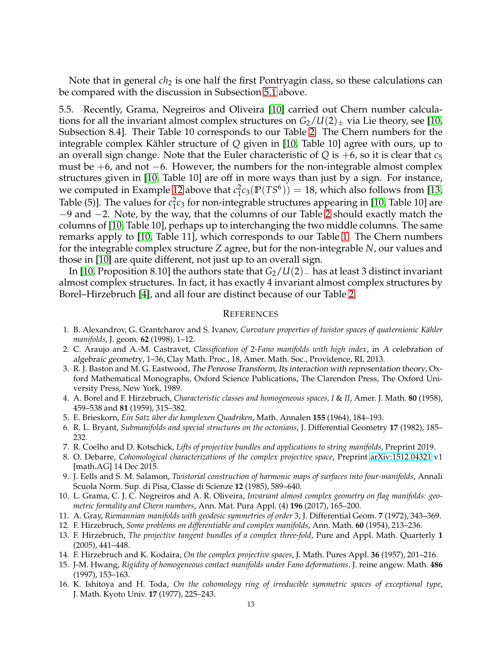Note that in general *ch*<sub>2</sub> is one half the first Pontryagin class, so these calculations can be compared with the discussion in Subsection [5.1](#page-10-2) above.

5.5. Recently, Grama, Negreiros and Oliveira [\[10\]](#page-12-12) carried out Chern number calculations for all the invariant almost complex structures on  $G_2/U(2)_\pm$  via Lie theory, see [\[10,](#page-12-12) Subsection 8.4]. Their Table 10 corresponds to our Table [2.](#page-3-0) The Chern numbers for the integrable complex Kähler structure of *Q* given in [\[10,](#page-12-12) Table 10] agree with ours, up to an overall sign change. Note that the Euler characteristic of  $Q$  is  $+6$ , so it is clear that  $c_5$ must be  $+6$ , and not  $-6$ . However, the numbers for the non-integrable almost complex structures given in [\[10,](#page-12-12) Table 10] are off in more ways than just by a sign. For instance, we computed in Example [12](#page-8-0) above that *c* 2  $\binom{2}{1}c_3(\mathbb{P}(TS^6)) = 18$ , which also follows from [\[13,](#page-12-15) Table (5)]. The values for  $c_1^2$ 1 *c*<sup>3</sup> for non-integrable structures appearing in [\[10,](#page-12-12) Table 10] are −9 and −2. Note, by the way, that the columns of our Table [2](#page-3-0) should exactly match the columns of [\[10,](#page-12-12) Table 10], perhaps up to interchanging the two middle columns. The same remarks apply to [\[10,](#page-12-12) Table 11], which corresponds to our Table [1.](#page-2-1) The Chern numbers for the integrable complex structure *Z* agree, but for the non-integrable *N*, our values and those in [\[10\]](#page-12-12) are quite different, not just up to an overall sign.

In [\[10,](#page-12-12) Proposition 8.10] the authors state that *G*2/*U*(2)<sup>−</sup> has at least 3 distinct invariant almost complex structures. In fact, it has exactly 4 invariant almost complex structures by Borel–Hirzebruch [\[4\]](#page-12-6), and all four are distinct because of our Table [2.](#page-3-0)

#### **REFERENCES**

- <span id="page-12-11"></span>1. B. Alexandrov, G. Grantcharov and S. Ivanov, *Curvature properties of twistor spaces of quaternionic Kähler manifolds*, J. geom. **62** (1998), 1–12.
- <span id="page-12-9"></span>2. C. Araujo and A.-M. Castravet, *Classification of* 2*-Fano manifolds with high index*, in <sup>A</sup> celebration of algebraic geometry, 1–36, Clay Math. Proc., 18, Amer. Math. Soc., Providence, RI, 2013.
- <span id="page-12-14"></span>3. R. J. Baston and M. G. Eastwood, The Penrose Transform, Its interaction with representation theory, Oxford Mathematical Monographs, Oxford Science Publications, The Clarendon Press, The Oxford University Press, New York, 1989.
- <span id="page-12-6"></span>4. A. Borel and F. Hirzebruch, *Characteristic classes and homogeneous spaces, I* & *II*, Amer. J. Math. **80** (1958), 459–538 and **81** (1959), 315–382.
- <span id="page-12-2"></span><span id="page-12-0"></span>5. E. Brieskorn, *Ein Satz ¨uber die komplexen Quadriken*, Math. Annalen **155** (1964), 184–193.
- <span id="page-12-13"></span>6. R. L. Bryant, *Submanifolds and special structures on the octonians*, J. Differential Geometry **17** (1982), 185– 232.
- <span id="page-12-3"></span>7. R. Coelho and D. Kotschick, *Lifts of projective bundles and applications to string manifolds*, Preprint 2019.
- 8. O. Debarre, *Cohomological characterizations of the complex projective space*, Preprint [arXiv:1512.04321](http://arxiv.org/abs/1512.04321) v1 [math.AG] 14 Dec 2015.
- <span id="page-12-7"></span>9. J. Eells and S. M. Salamon, *Twistorial construction of harmonic maps of surfaces into four-manifolds*, Annali Scuola Norm. Sup. di Pisa, Classe di Scienze **12** (1985), 589–640.
- <span id="page-12-12"></span>10. L. Grama, C. J. C. Negreiros and A. R. Oliveira, *Invariant almost complex geometry on flag manifolds: geometric formality and Chern numbers*, Ann. Mat. Pura Appl. (4) **196** (2017), 165–200.
- <span id="page-12-10"></span><span id="page-12-5"></span>11. A. Gray, *Riemannian manifolds with geodesic symmetries of order* 3, J. Differential Geom. **7** (1972), 343–369.
- <span id="page-12-15"></span>12. F. Hirzebruch, *Some problems on differentiable and complex manifolds*, Ann. Math. **60** (1954), 213–236.
- 13. F. Hirzebruch, *The projective tangent bundles of a complex three-fold*, Pure and Appl. Math. Quarterly **1** (2005), 441–448.
- <span id="page-12-4"></span><span id="page-12-1"></span>14. F. Hirzebruch and K. Kodaira, *On the complex projective spaces*, J. Math. Pures Appl. **36** (1957), 201–216.
- 15. J-M. Hwang, *Rigidity of homogeneous contact manifolds under Fano deformations,* J. reine angew. Math. **486** (1997), 153–163.
- <span id="page-12-8"></span>16. K. Ishitoya and H. Toda, *On the cohomology ring of irreducible symmetric spaces of exceptional type*, J. Math. Kyoto Univ. **17** (1977), 225–243.